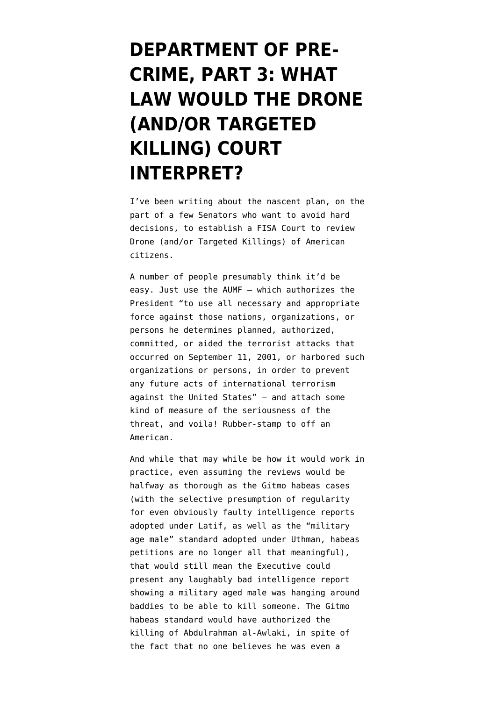## **[DEPARTMENT OF PRE-](https://www.emptywheel.net/2013/02/15/department-of-pre-crime-part-3-what-law-would-the-drone-andor-targeted-killing-court-interpret/)[CRIME, PART 3: WHAT](https://www.emptywheel.net/2013/02/15/department-of-pre-crime-part-3-what-law-would-the-drone-andor-targeted-killing-court-interpret/) [LAW WOULD THE DRONE](https://www.emptywheel.net/2013/02/15/department-of-pre-crime-part-3-what-law-would-the-drone-andor-targeted-killing-court-interpret/) [\(AND/OR TARGETED](https://www.emptywheel.net/2013/02/15/department-of-pre-crime-part-3-what-law-would-the-drone-andor-targeted-killing-court-interpret/) [KILLING\) COURT](https://www.emptywheel.net/2013/02/15/department-of-pre-crime-part-3-what-law-would-the-drone-andor-targeted-killing-court-interpret/) [INTERPRET?](https://www.emptywheel.net/2013/02/15/department-of-pre-crime-part-3-what-law-would-the-drone-andor-targeted-killing-court-interpret/)**

I've been writing about the nascent plan, on the part of a few Senators who want to avoid hard decisions, to establish a FISA Court to review Drone (and/or Targeted Killings) of American citizens.

A number of people presumably think it'd be easy. Just use the AUMF — which authorizes the President "to use all necessary and appropriate force against those nations, organizations, or persons he determines planned, authorized, committed, or aided the terrorist attacks that occurred on September 11, 2001, or harbored such organizations or persons, in order to prevent any future acts of international terrorism against the United States" — and attach some kind of measure of the seriousness of the threat, and voila! Rubber-stamp to off an American.

And while that may while be how it would work in practice, even assuming the reviews would be halfway as thorough as the Gitmo habeas cases (with the [selective presumption of regularity](http://www.emptywheel.net/2012/01/30/latif-presumption-of-regularity-for-thee-but-not-for-me/) [for even obviously faulty intelligence reports](http://www.emptywheel.net/2012/01/30/latif-presumption-of-regularity-for-thee-but-not-for-me/) [adopted under Latif](http://www.emptywheel.net/2012/01/30/latif-presumption-of-regularity-for-thee-but-not-for-me/), as well as the ["military](http://www.emptywheel.net/2012/06/06/scotus-reviews-the-military-age-male-standard-on-thursday/) [age male" standard adopted under Uthman,](http://www.emptywheel.net/2012/06/06/scotus-reviews-the-military-age-male-standard-on-thursday/) habeas petitions are no longer all that meaningful), that would still mean the Executive could present any laughably bad intelligence report showing a military aged male was hanging around baddies to be able to kill someone. The Gitmo habeas standard would have authorized the killing of Abdulrahman al-Awlaki, in spite of the fact that no one believes he was even a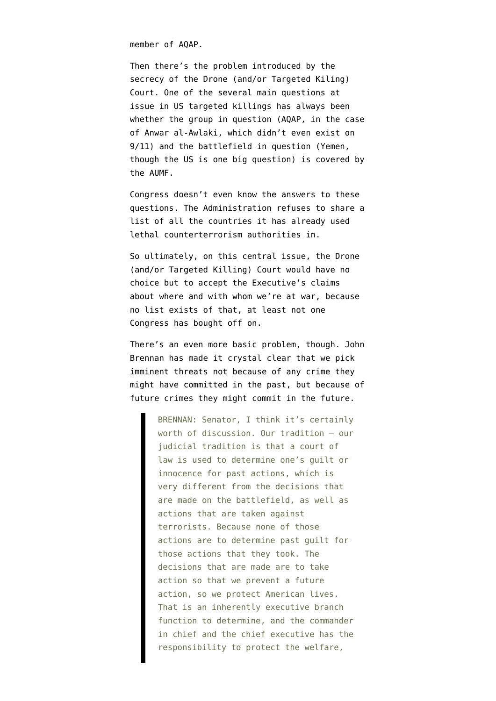member of AQAP.

Then there's the problem introduced by the secrecy of the Drone (and/or Targeted Kiling) Court. One of the several main questions at issue in US targeted killings has always been whether the group in question (AQAP, in the case of Anwar al-Awlaki, which didn't even exist on 9/11) and the battlefield in question (Yemen, though the US is one big question) is covered by the AUMF.

Congress doesn't even know the answers to these questions. The Administration [refuses to share a](http://www.emptywheel.net/2013/01/22/rather-than-lying-to-congress-cia-now-blows-it-off/) [list of all the countries](http://www.emptywheel.net/2013/01/22/rather-than-lying-to-congress-cia-now-blows-it-off/) it has already used lethal counterterrorism authorities in.

So ultimately, on this central issue, the Drone (and/or Targeted Killing) Court would have no choice but to accept the Executive's claims about where and with whom we're at war, because no list exists of that, at least not one Congress has bought off on.

There's an even more basic problem, though. John Brennan has made it crystal clear that we pick imminent threats not because of any crime they might have committed in the past, but because of future crimes they might commit in the future.

> BRENNAN: Senator, I think it's certainly worth of discussion. Our tradition — our judicial tradition is that a court of law is used to determine one's guilt or innocence for past actions, which is very different from the decisions that are made on the battlefield, as well as actions that are taken against terrorists. Because none of those actions are to determine past guilt for those actions that they took. The decisions that are made are to take action so that we prevent a future action, so we protect American lives. That is an inherently executive branch function to determine, and the commander in chief and the chief executive has the responsibility to protect the welfare,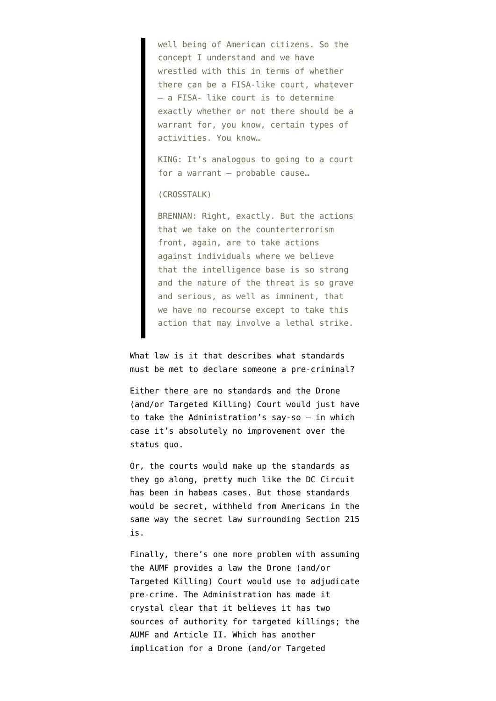well being of American citizens. So the concept I understand and we have wrestled with this in terms of whether there can be a FISA-like court, whatever — a FISA- like court is to determine exactly whether or not there should be a warrant for, you know, certain types of activities. You know…

KING: It's analogous to going to a court for a warrant — probable cause…

## (CROSSTALK)

BRENNAN: Right, exactly. But the actions that we take on the counterterrorism front, again, are to take actions against individuals where we believe that the intelligence base is so strong and the nature of the threat is so grave and serious, as well as imminent, that we have no recourse except to take this action that may involve a lethal strike.

What law is it that describes what standards must be met to declare someone a pre-criminal?

Either there are no standards and the Drone (and/or Targeted Killing) Court would just have to take the Administration's say-so — in which case it's absolutely no improvement over the status quo.

Or, the courts would make up the standards as they go along, pretty much like the DC Circuit has been in habeas cases. But those standards would be secret, withheld from Americans in the same way the secret law surrounding Section 215 is.

Finally, there's one more problem with assuming the AUMF provides a law the Drone (and/or Targeted Killing) Court would use to adjudicate pre-crime. The Administration has [made it](http://www.emptywheel.net/2013/02/09/article-ii-or-aumf-a-high-level-official-aka-john-brennan-says-cia-can-kill-you/) [crystal clear](http://www.emptywheel.net/2013/02/09/article-ii-or-aumf-a-high-level-official-aka-john-brennan-says-cia-can-kill-you/) that it believes it has two sources of authority for targeted killings; the AUMF and Article II. Which has another implication for a Drone (and/or Targeted